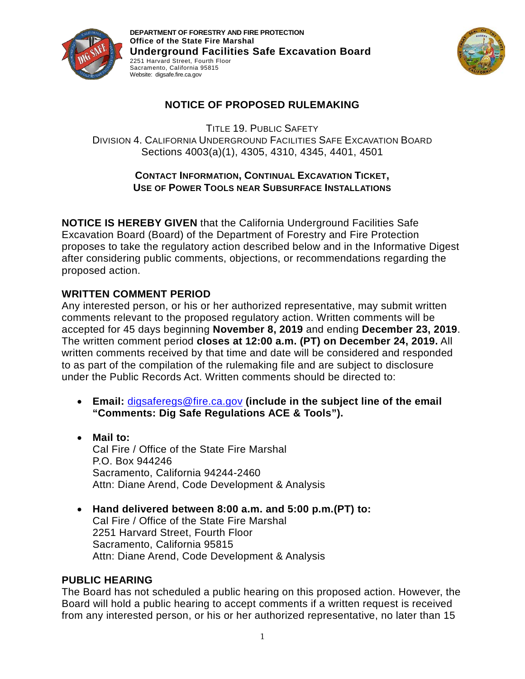

**DEPARTMENT OF FORESTRY AND FIRE PROTECTION Office of the State Fire Marshal Underground Facilities Safe Excavation Board**  2251 Harvard Street, Fourth Floor Sacramento, California 95815 Website: digsafe.fire.ca.gov



# **NOTICE OF PROPOSED RULEMAKING**

TITLE 19. PUBLIC SAFETY DIVISION 4. CALIFORNIA UNDERGROUND FACILITIES SAFE EXCAVATION BOARD Sections 4003(a)(1), 4305, 4310, 4345, 4401, 4501

## **CONTACT INFORMATION, CONTINUAL EXCAVATION TICKET, USE OF POWER TOOLS NEAR SUBSURFACE INSTALLATIONS**

**NOTICE IS HEREBY GIVEN** that the California Underground Facilities Safe Excavation Board (Board) of the Department of Forestry and Fire Protection proposes to take the regulatory action described below and in the Informative Digest after considering public comments, objections, or recommendations regarding the proposed action.

## **WRITTEN COMMENT PERIOD**

Any interested person, or his or her authorized representative, may submit written comments relevant to the proposed regulatory action. Written comments will be accepted for 45 days beginning **November 8, 2019** and ending **December 23, 2019**. The written comment period **closes at 12:00 a.m. (PT) on December 24, 2019.** All written comments received by that time and date will be considered and responded to as part of the compilation of the rulemaking file and are subject to disclosure under the Public Records Act. Written comments should be directed to:

- **Email:** [digsaferegs@fire.ca.gov](mailto:digsaferegs@fire.ca.gov) **(include in the subject line of the email "Comments: Dig Safe Regulations ACE & Tools").**
- **Mail to:** Cal Fire / Office of the State Fire Marshal P.O. Box 944246 Sacramento, California 94244-2460 Attn: Diane Arend, Code Development & Analysis
- **Hand delivered between 8:00 a.m. and 5:00 p.m.(PT) to:** Cal Fire / Office of the State Fire Marshal 2251 Harvard Street, Fourth Floor Sacramento, California 95815 Attn: Diane Arend, Code Development & Analysis

## **PUBLIC HEARING**

The Board has not scheduled a public hearing on this proposed action. However, the Board will hold a public hearing to accept comments if a written request is received from any interested person, or his or her authorized representative, no later than 15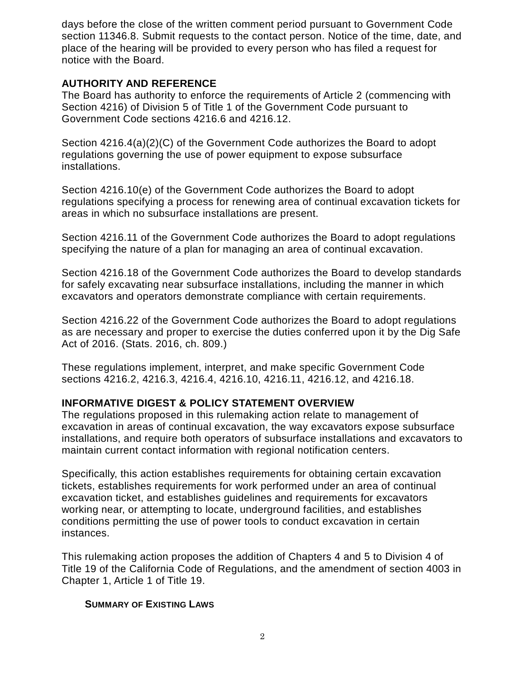days before the close of the written comment period pursuant to Government Code section 11346.8. Submit requests to the contact person. Notice of the time, date, and place of the hearing will be provided to every person who has filed a request for notice with the Board.

### **AUTHORITY AND REFERENCE**

The Board has authority to enforce the requirements of Article 2 (commencing with Section 4216) of Division 5 of Title 1 of the Government Code pursuant to Government Code sections 4216.6 and 4216.12.

Section 4216.4(a)(2)(C) of the Government Code authorizes the Board to adopt regulations governing the use of power equipment to expose subsurface installations.

Section 4216.10(e) of the Government Code authorizes the Board to adopt regulations specifying a process for renewing area of continual excavation tickets for areas in which no subsurface installations are present.

Section 4216.11 of the Government Code authorizes the Board to adopt regulations specifying the nature of a plan for managing an area of continual excavation.

Section 4216.18 of the Government Code authorizes the Board to develop standards for safely excavating near subsurface installations, including the manner in which excavators and operators demonstrate compliance with certain requirements.

Section 4216.22 of the Government Code authorizes the Board to adopt regulations as are necessary and proper to exercise the duties conferred upon it by the Dig Safe Act of 2016. (Stats. 2016, ch. 809.)

These regulations implement, interpret, and make specific Government Code sections 4216.2, 4216.3, 4216.4, 4216.10, 4216.11, 4216.12, and 4216.18.

## **INFORMATIVE DIGEST & POLICY STATEMENT OVERVIEW**

The regulations proposed in this rulemaking action relate to management of excavation in areas of continual excavation, the way excavators expose subsurface installations, and require both operators of subsurface installations and excavators to maintain current contact information with regional notification centers.

Specifically, this action establishes requirements for obtaining certain excavation tickets, establishes requirements for work performed under an area of continual excavation ticket, and establishes guidelines and requirements for excavators working near, or attempting to locate, underground facilities, and establishes conditions permitting the use of power tools to conduct excavation in certain instances.

This rulemaking action proposes the addition of Chapters 4 and 5 to Division 4 of Title 19 of the California Code of Regulations, and the amendment of section 4003 in Chapter 1, Article 1 of Title 19.

### **SUMMARY OF EXISTING LAWS**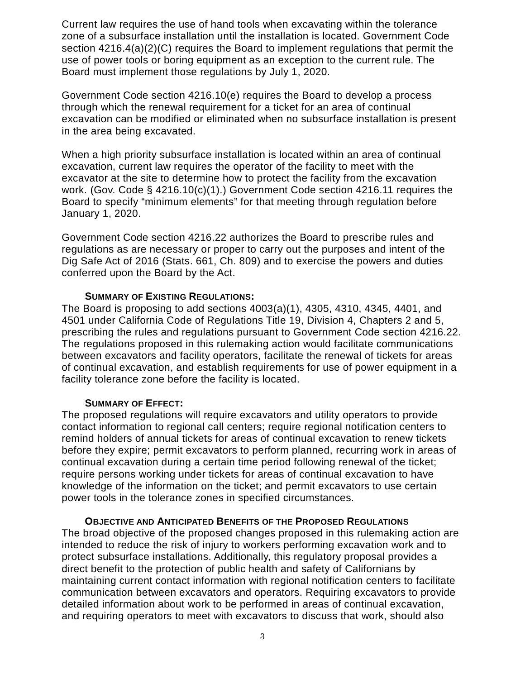Current law requires the use of hand tools when excavating within the tolerance zone of a subsurface installation until the installation is located. Government Code section 4216.4(a)(2)(C) requires the Board to implement regulations that permit the use of power tools or boring equipment as an exception to the current rule. The Board must implement those regulations by July 1, 2020.

Government Code section 4216.10(e) requires the Board to develop a process through which the renewal requirement for a ticket for an area of continual excavation can be modified or eliminated when no subsurface installation is present in the area being excavated.

When a high priority subsurface installation is located within an area of continual excavation, current law requires the operator of the facility to meet with the excavator at the site to determine how to protect the facility from the excavation work. (Gov. Code § 4216.10(c)(1).) Government Code section 4216.11 requires the Board to specify "minimum elements" for that meeting through regulation before January 1, 2020.

Government Code section 4216.22 authorizes the Board to prescribe rules and regulations as are necessary or proper to carry out the purposes and intent of the Dig Safe Act of 2016 (Stats. 661, Ch. 809) and to exercise the powers and duties conferred upon the Board by the Act.

#### **SUMMARY OF EXISTING REGULATIONS:**

The Board is proposing to add sections 4003(a)(1), 4305, 4310, 4345, 4401, and 4501 under California Code of Regulations Title 19, Division 4, Chapters 2 and 5, prescribing the rules and regulations pursuant to Government Code section 4216.22. The regulations proposed in this rulemaking action would facilitate communications between excavators and facility operators, facilitate the renewal of tickets for areas of continual excavation, and establish requirements for use of power equipment in a facility tolerance zone before the facility is located.

#### **SUMMARY OF EFFECT:**

The proposed regulations will require excavators and utility operators to provide contact information to regional call centers; require regional notification centers to remind holders of annual tickets for areas of continual excavation to renew tickets before they expire; permit excavators to perform planned, recurring work in areas of continual excavation during a certain time period following renewal of the ticket; require persons working under tickets for areas of continual excavation to have knowledge of the information on the ticket; and permit excavators to use certain power tools in the tolerance zones in specified circumstances.

#### **OBJECTIVE AND ANTICIPATED BENEFITS OF THE PROPOSED REGULATIONS**

The broad objective of the proposed changes proposed in this rulemaking action are intended to reduce the risk of injury to workers performing excavation work and to protect subsurface installations. Additionally, this regulatory proposal provides a direct benefit to the protection of public health and safety of Californians by maintaining current contact information with regional notification centers to facilitate communication between excavators and operators. Requiring excavators to provide detailed information about work to be performed in areas of continual excavation, and requiring operators to meet with excavators to discuss that work, should also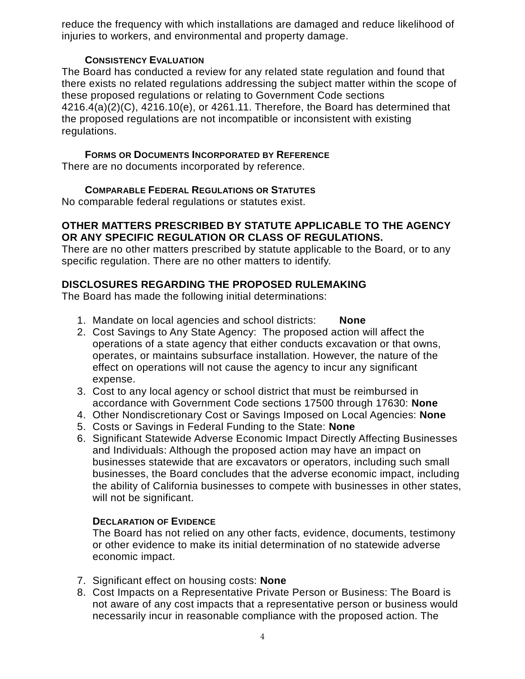reduce the frequency with which installations are damaged and reduce likelihood of injuries to workers, and environmental and property damage.

### **CONSISTENCY EVALUATION**

The Board has conducted a review for any related state regulation and found that there exists no related regulations addressing the subject matter within the scope of these proposed regulations or relating to Government Code sections 4216.4(a)(2)(C), 4216.10(e), or 4261.11. Therefore, the Board has determined that the proposed regulations are not incompatible or inconsistent with existing regulations.

## **FORMS OR DOCUMENTS INCORPORATED BY REFERENCE**

There are no documents incorporated by reference.

## **COMPARABLE FEDERAL REGULATIONS OR STATUTES**

No comparable federal regulations or statutes exist.

## **OTHER MATTERS PRESCRIBED BY STATUTE APPLICABLE TO THE AGENCY OR ANY SPECIFIC REGULATION OR CLASS OF REGULATIONS.**

There are no other matters prescribed by statute applicable to the Board, or to any specific regulation. There are no other matters to identify.

# **DISCLOSURES REGARDING THE PROPOSED RULEMAKING**

The Board has made the following initial determinations:

- 1. Mandate on local agencies and school districts: **None**
- 2. Cost Savings to Any State Agency: The proposed action will affect the operations of a state agency that either conducts excavation or that owns, operates, or maintains subsurface installation. However, the nature of the effect on operations will not cause the agency to incur any significant expense.
- 3. Cost to any local agency or school district that must be reimbursed in accordance with Government Code sections 17500 through 17630: **None**
- 4. Other Nondiscretionary Cost or Savings Imposed on Local Agencies: **None**
- 5. Costs or Savings in Federal Funding to the State: **None**
- 6. Significant Statewide Adverse Economic Impact Directly Affecting Businesses and Individuals: Although the proposed action may have an impact on businesses statewide that are excavators or operators, including such small businesses, the Board concludes that the adverse economic impact, including the ability of California businesses to compete with businesses in other states, will not be significant.

# **DECLARATION OF EVIDENCE**

The Board has not relied on any other facts, evidence, documents, testimony or other evidence to make its initial determination of no statewide adverse economic impact.

- 7. Significant effect on housing costs: **None**
- 8. Cost Impacts on a Representative Private Person or Business: The Board is not aware of any cost impacts that a representative person or business would necessarily incur in reasonable compliance with the proposed action. The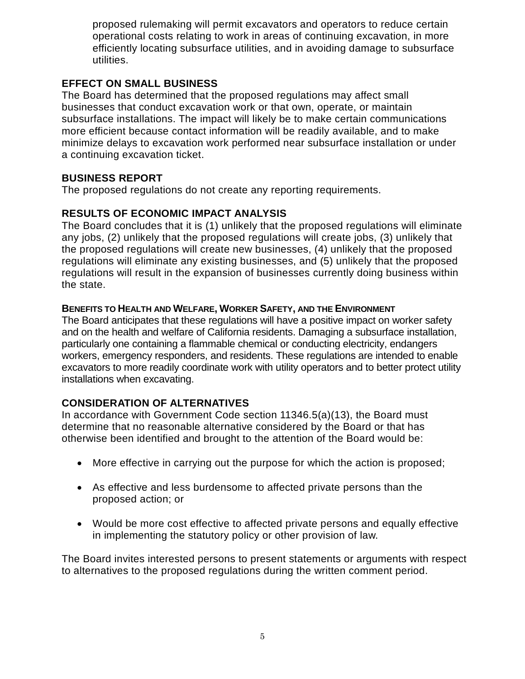proposed rulemaking will permit excavators and operators to reduce certain operational costs relating to work in areas of continuing excavation, in more efficiently locating subsurface utilities, and in avoiding damage to subsurface utilities.

## **EFFECT ON SMALL BUSINESS**

The Board has determined that the proposed regulations may affect small businesses that conduct excavation work or that own, operate, or maintain subsurface installations. The impact will likely be to make certain communications more efficient because contact information will be readily available, and to make minimize delays to excavation work performed near subsurface installation or under a continuing excavation ticket.

### **BUSINESS REPORT**

The proposed regulations do not create any reporting requirements.

### **RESULTS OF ECONOMIC IMPACT ANALYSIS**

The Board concludes that it is (1) unlikely that the proposed regulations will eliminate any jobs, (2) unlikely that the proposed regulations will create jobs, (3) unlikely that the proposed regulations will create new businesses, (4) unlikely that the proposed regulations will eliminate any existing businesses, and (5) unlikely that the proposed regulations will result in the expansion of businesses currently doing business within the state.

### **BENEFITS TO HEALTH AND WELFARE, WORKER SAFETY, AND THE ENVIRONMENT**

The Board anticipates that these regulations will have a positive impact on worker safety and on the health and welfare of California residents. Damaging a subsurface installation, particularly one containing a flammable chemical or conducting electricity, endangers workers, emergency responders, and residents. These regulations are intended to enable excavators to more readily coordinate work with utility operators and to better protect utility installations when excavating.

## **CONSIDERATION OF ALTERNATIVES**

In accordance with Government Code section 11346.5(a)(13), the Board must determine that no reasonable alternative considered by the Board or that has otherwise been identified and brought to the attention of the Board would be:

- More effective in carrying out the purpose for which the action is proposed;
- As effective and less burdensome to affected private persons than the proposed action; or
- Would be more cost effective to affected private persons and equally effective in implementing the statutory policy or other provision of law.

The Board invites interested persons to present statements or arguments with respect to alternatives to the proposed regulations during the written comment period.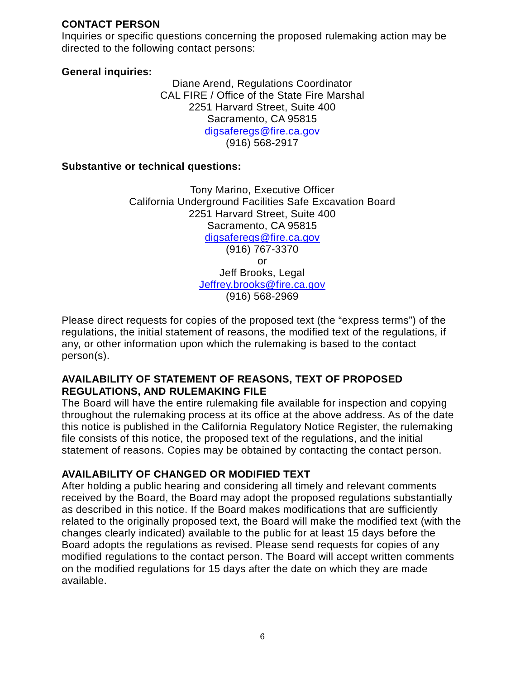## **CONTACT PERSON**

Inquiries or specific questions concerning the proposed rulemaking action may be directed to the following contact persons:

### **General inquiries:**

Diane Arend, Regulations Coordinator CAL FIRE / Office of the State Fire Marshal 2251 Harvard Street, Suite 400 Sacramento, CA 95815 [digsaferegs@fire.ca.gov](mailto:digsaferegs@fire.ca.gov) (916) 568-2917

### **Substantive or technical questions:**

Tony Marino, Executive Officer California Underground Facilities Safe Excavation Board 2251 Harvard Street, Suite 400 Sacramento, CA 95815 [digsaferegs@fire.ca.gov](mailto:digsaferegs@fire.ca.gov) (916) 767-3370 or Jeff Brooks, Legal [Jeffrey.brooks@fire.ca.gov](mailto:Jeffrey.brooks@fire.ca.gov) (916) 568-2969

Please direct requests for copies of the proposed text (the "express terms") of the regulations, the initial statement of reasons, the modified text of the regulations, if any, or other information upon which the rulemaking is based to the contact person(s).

### **AVAILABILITY OF STATEMENT OF REASONS, TEXT OF PROPOSED REGULATIONS, AND RULEMAKING FILE**

The Board will have the entire rulemaking file available for inspection and copying throughout the rulemaking process at its office at the above address. As of the date this notice is published in the California Regulatory Notice Register, the rulemaking file consists of this notice, the proposed text of the regulations, and the initial statement of reasons. Copies may be obtained by contacting the contact person.

## **AVAILABILITY OF CHANGED OR MODIFIED TEXT**

After holding a public hearing and considering all timely and relevant comments received by the Board, the Board may adopt the proposed regulations substantially as described in this notice. If the Board makes modifications that are sufficiently related to the originally proposed text, the Board will make the modified text (with the changes clearly indicated) available to the public for at least 15 days before the Board adopts the regulations as revised. Please send requests for copies of any modified regulations to the contact person. The Board will accept written comments on the modified regulations for 15 days after the date on which they are made available.